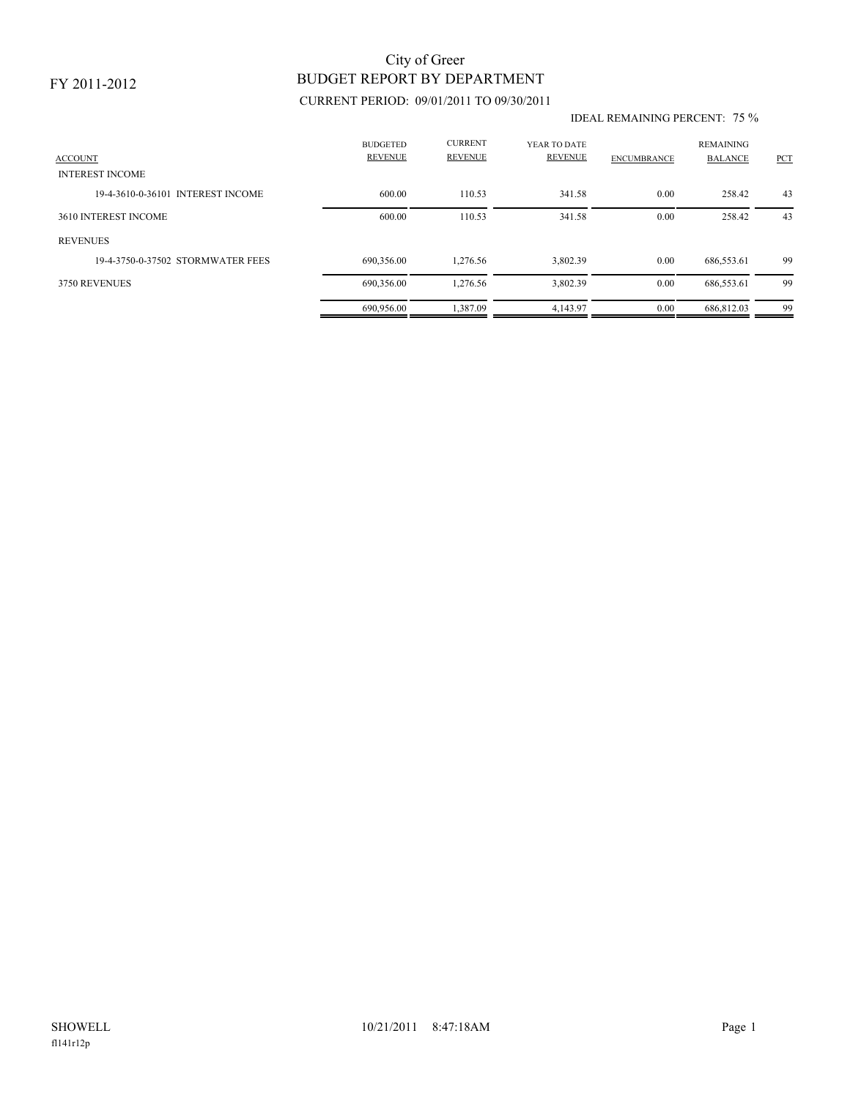### FY 2011-2012

# BUDGET REPORT BY DEPARTMENT City of Greer

### CURRENT PERIOD: 09/01/2011 TO 09/30/2011

#### IDEAL REMAINING PERCENT: 75 %

| <b>ACCOUNT</b>                    | <b>BUDGETED</b><br><b>REVENUE</b> | <b>CURRENT</b><br><b>REVENUE</b> | YEAR TO DATE<br>REVENUE | <b>ENCUMBRANCE</b> | <b>REMAINING</b><br><b>BALANCE</b> | <b>PCT</b> |
|-----------------------------------|-----------------------------------|----------------------------------|-------------------------|--------------------|------------------------------------|------------|
| <b>INTEREST INCOME</b>            |                                   |                                  |                         |                    |                                    |            |
| 19-4-3610-0-36101 INTEREST INCOME | 600.00                            | 110.53                           | 341.58                  | 0.00               | 258.42                             | 43         |
| 3610 INTEREST INCOME              | 600.00                            | 110.53                           | 341.58                  | 0.00               | 258.42                             | 43         |
| <b>REVENUES</b>                   |                                   |                                  |                         |                    |                                    |            |
| 19-4-3750-0-37502 STORMWATER FEES | 690.356.00                        | 1.276.56                         | 3,802.39                | 0.00               | 686,553.61                         | 99         |
| 3750 REVENUES                     | 690,356.00                        | 1,276.56                         | 3,802.39                | 0.00               | 686,553.61                         | 99         |
|                                   | 690,956.00                        | 1,387.09                         | 4,143.97                | 0.00               | 686.812.03                         | 99         |